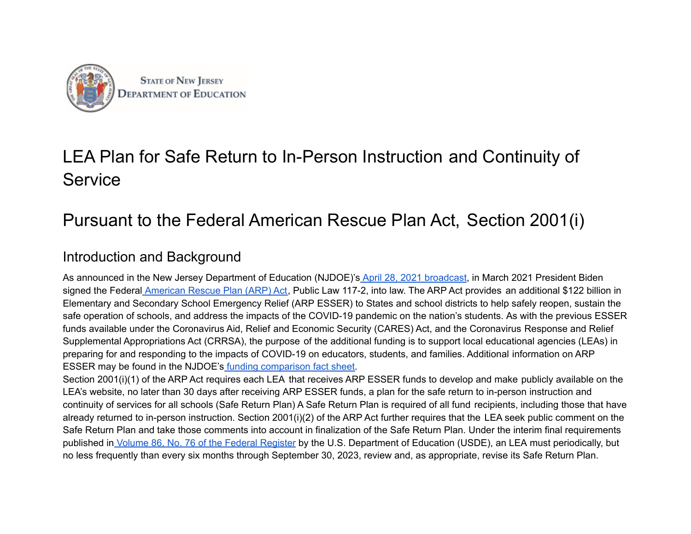

# LEA Plan for Safe Return to In-Person Instruction and Continuity of **Service**

# Pursuant to the Federal American Rescue Plan Act, Section 2001(i)

## Introduction and Background

As announced in the New Jersey Department of Education (NJDOE)'s April 28, 2021 [broadcast,](https://www.nj.gov/education/broadcasts/2021/april/AmericanRescuePlanESSERFunds.pdf) in March 2021 President Biden signed the Federal [American](https://www.congress.gov/117/bills/hr1319/BILLS-117hr1319enr.pdf) Rescue Plan (ARP) Act, Public Law 117-2, into law. The ARP Act provides an additional \$122 billion in Elementary and Secondary School Emergency Relief (ARP ESSER) to States and school districts to help safely reopen, sustain the safe operation of schools, and address the impacts of the COVID-19 pandemic on the nation's students. As with the previous ESSER funds available under the Coronavirus Aid, Relief and Economic Security (CARES) Act, and the Coronavirus Response and Relief Supplemental Appropriations Act (CRRSA), the purpose of the additional funding is to support local educational agencies (LEAs) in preparing for and responding to the impacts of COVID-19 on educators, students, and families. Additional information on ARP ESSER may be found in the NJDOE's funding [comparison](https://www.nj.gov/education/esser/docs/ESSERFactSheet.pdf) fact sheet.

Section 2001(i)(1) of the ARP Act requires each LEA that receives ARP ESSER funds to develop and make publicly available on the LEA's website, no later than 30 days after receiving ARP ESSER funds, a plan for the safe return to in-person instruction and continuity of services for all schools (Safe Return Plan) A Safe Return Plan is required of all fund recipients, including those that have already returned to in-person instruction. Section 2001(i)(2) of the ARP Act further requires that the LEA seek public comment on the Safe Return Plan and take those comments into account in finalization of the Safe Return Plan. Under the interim final requirements published in Volume 86, No. 76 of the Federal [Register](https://www.govinfo.gov/content/pkg/FR-2021-04-22/pdf/2021-08359.pdf) by the U.S. Department of Education (USDE), an LEA must periodically, but no less frequently than every six months through September 30, 2023, review and, as appropriate, revise its Safe Return Plan.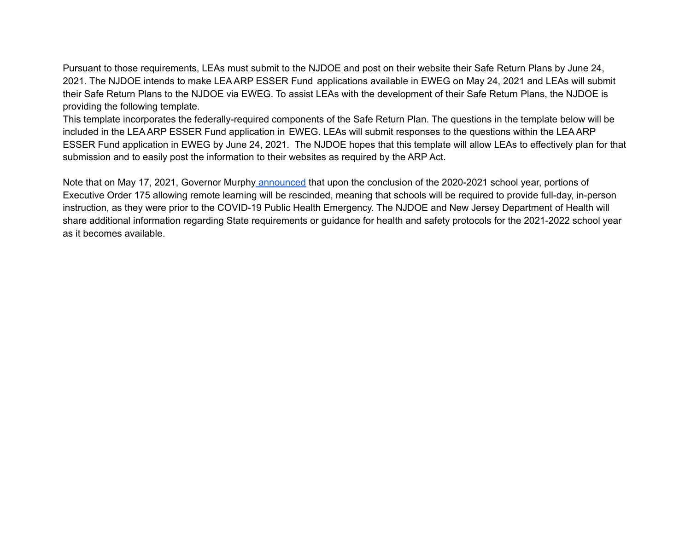Pursuant to those requirements, LEAs must submit to the NJDOE and post on their website their Safe Return Plans by June 24, 2021. The NJDOE intends to make LEA ARP ESSER Fund applications available in EWEG on May 24, 2021 and LEAs will submit their Safe Return Plans to the NJDOE via EWEG. To assist LEAs with the development of their Safe Return Plans, the NJDOE is providing the following template.

This template incorporates the federally-required components of the Safe Return Plan. The questions in the template below will be included in the LEA ARP ESSER Fund application in EWEG. LEAs will submit responses to the questions within the LEA ARP ESSER Fund application in EWEG by June 24, 2021. The NJDOE hopes that this template will allow LEAs to effectively plan for that submission and to easily post the information to their websites as required by the ARP Act.

Note that on May 17, 2021, Governor Murphy [announced](https://nj.gov/governor/news/news/562021/approved/20210517a.shtml) that upon the conclusion of the 2020-2021 school year, portions of Executive Order 175 allowing remote learning will be rescinded, meaning that schools will be required to provide full-day, in-person instruction, as they were prior to the COVID-19 Public Health Emergency. The NJDOE and New Jersey Department of Health will share additional information regarding State requirements or guidance for health and safety protocols for the 2021-2022 school year as it becomes available.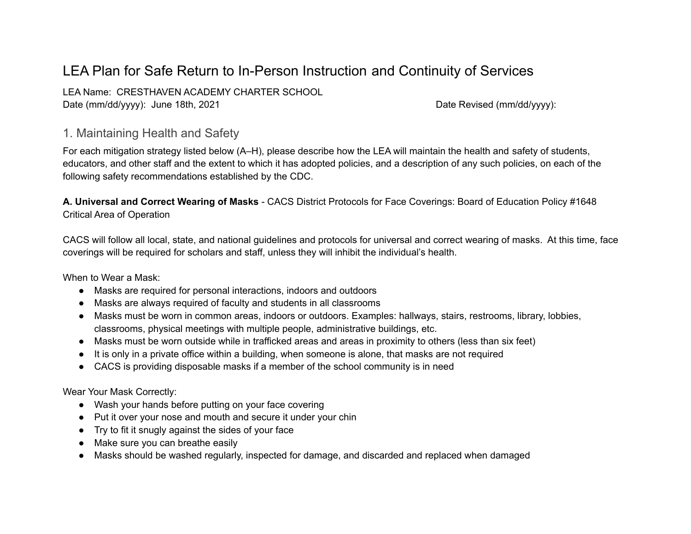## LEA Plan for Safe Return to In-Person Instruction and Continuity of Services

LEA Name: CRESTHAVEN ACADEMY CHARTER SCHOOL Date (mm/dd/yyyy): June 18th, 2021 Date Revised (mm/dd/yyyy): Date Revised (mm/dd/yyyy):

#### 1. Maintaining Health and Safety

For each mitigation strategy listed below (A–H), please describe how the LEA will maintain the health and safety of students, educators, and other staff and the extent to which it has adopted policies, and a description of any such policies, on each of the following safety recommendations established by the CDC.

**A. Universal and Correct Wearing of Masks** - CACS District Protocols for Face Coverings: Board of Education Policy #1648 Critical Area of Operation

CACS will follow all local, state, and national guidelines and protocols for universal and correct wearing of masks. At this time, face coverings will be required for scholars and staff, unless they will inhibit the individual's health.

When to Wear a Mask:

- Masks are required for personal interactions, indoors and outdoors
- Masks are always required of faculty and students in all classrooms
- Masks must be worn in common areas, indoors or outdoors. Examples: hallways, stairs, restrooms, library, lobbies, classrooms, physical meetings with multiple people, administrative buildings, etc.
- Masks must be worn outside while in trafficked areas and areas in proximity to others (less than six feet)
- It is only in a private office within a building, when someone is alone, that masks are not required
- CACS is providing disposable masks if a member of the school community is in need

Wear Your Mask Correctly:

- Wash your hands before putting on your face covering
- Put it over your nose and mouth and secure it under your chin
- Try to fit it snugly against the sides of your face
- Make sure you can breathe easily
- Masks should be washed regularly, inspected for damage, and discarded and replaced when damaged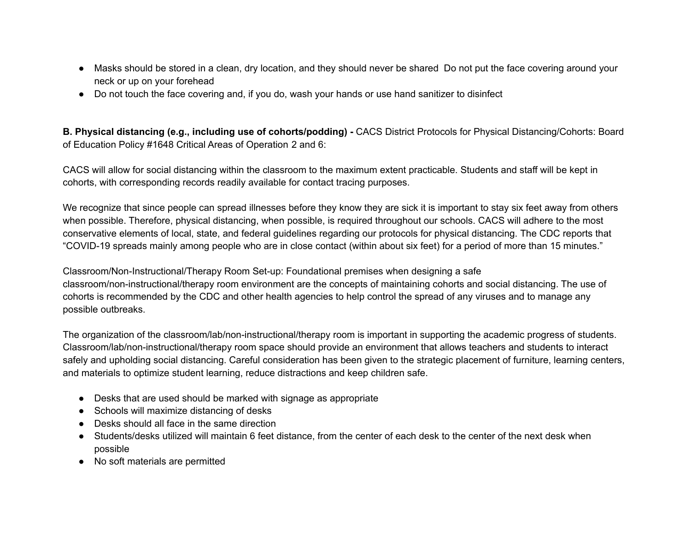- Masks should be stored in a clean, dry location, and they should never be shared Do not put the face covering around your neck or up on your forehead
- Do not touch the face covering and, if you do, wash your hands or use hand sanitizer to disinfect

**B. Physical distancing (e.g., including use of cohorts/podding) -** CACS District Protocols for Physical Distancing/Cohorts: Board of Education Policy #1648 Critical Areas of Operation 2 and 6:

CACS will allow for social distancing within the classroom to the maximum extent practicable. Students and staff will be kept in cohorts, with corresponding records readily available for contact tracing purposes.

We recognize that since people can spread illnesses before they know they are sick it is important to stay six feet away from others when possible. Therefore, physical distancing, when possible, is required throughout our schools. CACS will adhere to the most conservative elements of local, state, and federal guidelines regarding our protocols for physical distancing. The CDC reports that "COVID-19 spreads mainly among people who are in close contact (within about six feet) for a period of more than 15 minutes."

Classroom/Non-Instructional/Therapy Room Set-up: Foundational premises when designing a safe classroom/non-instructional/therapy room environment are the concepts of maintaining cohorts and social distancing. The use of cohorts is recommended by the CDC and other health agencies to help control the spread of any viruses and to manage any possible outbreaks.

The organization of the classroom/lab/non-instructional/therapy room is important in supporting the academic progress of students. Classroom/lab/non-instructional/therapy room space should provide an environment that allows teachers and students to interact safely and upholding social distancing. Careful consideration has been given to the strategic placement of furniture, learning centers, and materials to optimize student learning, reduce distractions and keep children safe.

- Desks that are used should be marked with signage as appropriate
- Schools will maximize distancing of desks
- Desks should all face in the same direction
- Students/desks utilized will maintain 6 feet distance, from the center of each desk to the center of the next desk when possible
- No soft materials are permitted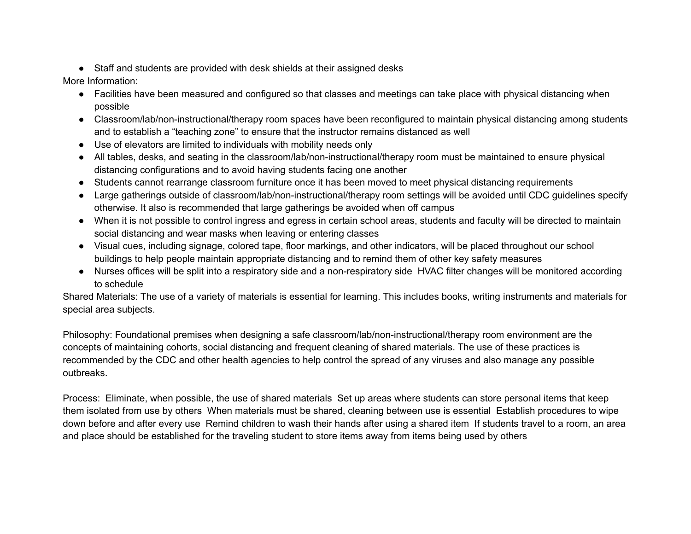● Staff and students are provided with desk shields at their assigned desks

More Information:

- Facilities have been measured and configured so that classes and meetings can take place with physical distancing when possible
- Classroom/lab/non-instructional/therapy room spaces have been reconfigured to maintain physical distancing among students and to establish a "teaching zone" to ensure that the instructor remains distanced as well
- Use of elevators are limited to individuals with mobility needs only
- All tables, desks, and seating in the classroom/lab/non-instructional/therapy room must be maintained to ensure physical distancing configurations and to avoid having students facing one another
- Students cannot rearrange classroom furniture once it has been moved to meet physical distancing requirements
- Large gatherings outside of classroom/lab/non-instructional/therapy room settings will be avoided until CDC guidelines specify otherwise. It also is recommended that large gatherings be avoided when off campus
- When it is not possible to control ingress and egress in certain school areas, students and faculty will be directed to maintain social distancing and wear masks when leaving or entering classes
- Visual cues, including signage, colored tape, floor markings, and other indicators, will be placed throughout our school buildings to help people maintain appropriate distancing and to remind them of other key safety measures
- Nurses offices will be split into a respiratory side and a non-respiratory side HVAC filter changes will be monitored according to schedule

Shared Materials: The use of a variety of materials is essential for learning. This includes books, writing instruments and materials for special area subjects.

Philosophy: Foundational premises when designing a safe classroom/lab/non-instructional/therapy room environment are the concepts of maintaining cohorts, social distancing and frequent cleaning of shared materials. The use of these practices is recommended by the CDC and other health agencies to help control the spread of any viruses and also manage any possible outbreaks.

Process: Eliminate, when possible, the use of shared materials Set up areas where students can store personal items that keep them isolated from use by others When materials must be shared, cleaning between use is essential Establish procedures to wipe down before and after every use Remind children to wash their hands after using a shared item If students travel to a room, an area and place should be established for the traveling student to store items away from items being used by others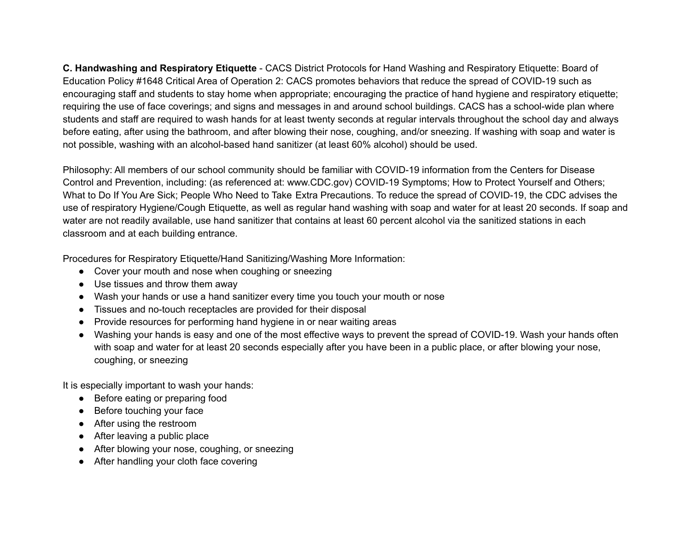**C. Handwashing and Respiratory Etiquette** - CACS District Protocols for Hand Washing and Respiratory Etiquette: Board of Education Policy #1648 Critical Area of Operation 2: CACS promotes behaviors that reduce the spread of COVID-19 such as encouraging staff and students to stay home when appropriate; encouraging the practice of hand hygiene and respiratory etiquette; requiring the use of face coverings; and signs and messages in and around school buildings. CACS has a school-wide plan where students and staff are required to wash hands for at least twenty seconds at regular intervals throughout the school day and always before eating, after using the bathroom, and after blowing their nose, coughing, and/or sneezing. If washing with soap and water is not possible, washing with an alcohol-based hand sanitizer (at least 60% alcohol) should be used.

Philosophy: All members of our school community should be familiar with COVID-19 information from the Centers for Disease Control and Prevention, including: (as referenced at: www.CDC.gov) COVID-19 Symptoms; How to Protect Yourself and Others; What to Do If You Are Sick; People Who Need to Take Extra Precautions. To reduce the spread of COVID-19, the CDC advises the use of respiratory Hygiene/Cough Etiquette, as well as regular hand washing with soap and water for at least 20 seconds. If soap and water are not readily available, use hand sanitizer that contains at least 60 percent alcohol via the sanitized stations in each classroom and at each building entrance.

Procedures for Respiratory Etiquette/Hand Sanitizing/Washing More Information:

- Cover your mouth and nose when coughing or sneezing
- Use tissues and throw them away
- Wash your hands or use a hand sanitizer every time you touch your mouth or nose
- Tissues and no-touch receptacles are provided for their disposal
- Provide resources for performing hand hygiene in or near waiting areas
- Washing your hands is easy and one of the most effective ways to prevent the spread of COVID-19. Wash your hands often with soap and water for at least 20 seconds especially after you have been in a public place, or after blowing your nose, coughing, or sneezing

It is especially important to wash your hands:

- Before eating or preparing food
- Before touching your face
- After using the restroom
- After leaving a public place
- After blowing your nose, coughing, or sneezing
- After handling your cloth face covering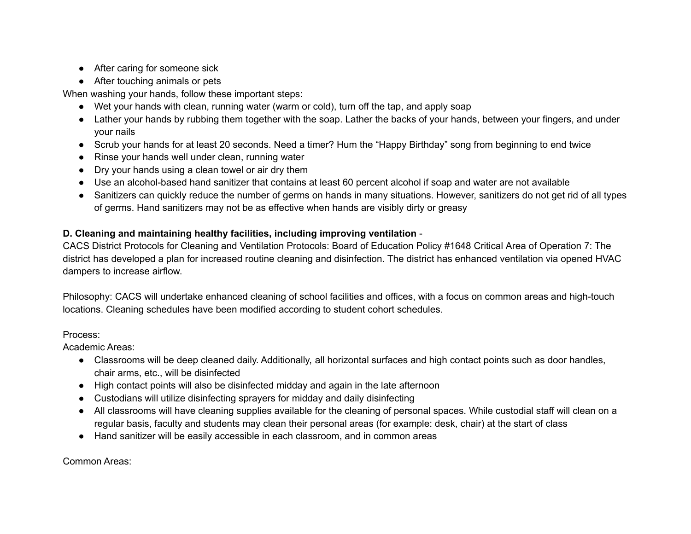- After caring for someone sick
- After touching animals or pets

When washing your hands, follow these important steps:

- Wet your hands with clean, running water (warm or cold), turn off the tap, and apply soap
- Lather your hands by rubbing them together with the soap. Lather the backs of your hands, between your fingers, and under your nails
- Scrub your hands for at least 20 seconds. Need a timer? Hum the "Happy Birthday" song from beginning to end twice
- Rinse your hands well under clean, running water
- Dry your hands using a clean towel or air dry them
- Use an alcohol-based hand sanitizer that contains at least 60 percent alcohol if soap and water are not available
- Sanitizers can quickly reduce the number of germs on hands in many situations. However, sanitizers do not get rid of all types of germs. Hand sanitizers may not be as effective when hands are visibly dirty or greasy

#### **D. Cleaning and maintaining healthy facilities, including improving ventilation** -

CACS District Protocols for Cleaning and Ventilation Protocols: Board of Education Policy #1648 Critical Area of Operation 7: The district has developed a plan for increased routine cleaning and disinfection. The district has enhanced ventilation via opened HVAC dampers to increase airflow.

Philosophy: CACS will undertake enhanced cleaning of school facilities and offices, with a focus on common areas and high-touch locations. Cleaning schedules have been modified according to student cohort schedules.

#### Process:

Academic Areas:

- Classrooms will be deep cleaned daily. Additionally, all horizontal surfaces and high contact points such as door handles, chair arms, etc., will be disinfected
- High contact points will also be disinfected midday and again in the late afternoon
- Custodians will utilize disinfecting sprayers for midday and daily disinfecting
- All classrooms will have cleaning supplies available for the cleaning of personal spaces. While custodial staff will clean on a regular basis, faculty and students may clean their personal areas (for example: desk, chair) at the start of class
- Hand sanitizer will be easily accessible in each classroom, and in common areas

Common Areas: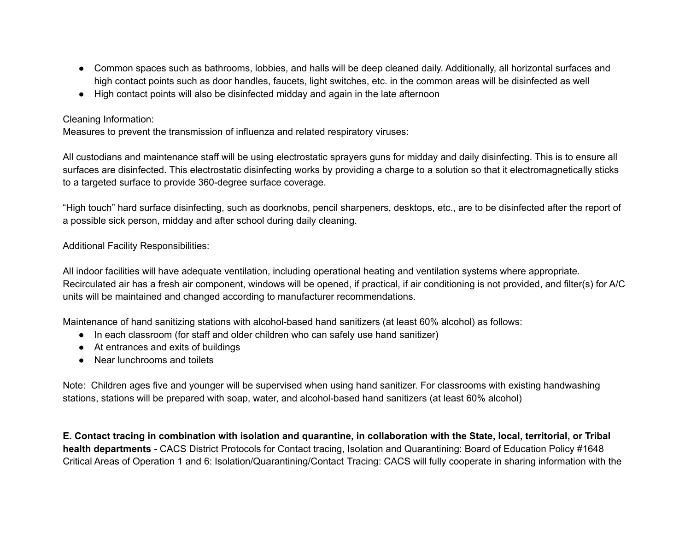- Common spaces such as bathrooms, lobbies, and halls will be deep cleaned daily. Additionally, all horizontal surfaces and high contact points such as door handles, faucets, light switches, etc. in the common areas will be disinfected as well
- High contact points will also be disinfected midday and again in the late afternoon

#### Cleaning Information:

Measures to prevent the transmission of influenza and related respiratory viruses:

All custodians and maintenance staff will be using electrostatic sprayers guns for midday and daily disinfecting. This is to ensure all surfaces are disinfected. This electrostatic disinfecting works by providing a charge to a solution so that it electromagnetically sticks to a targeted surface to provide 360-degree surface coverage.

"High touch" hard surface disinfecting, such as doorknobs, pencil sharpeners, desktops, etc., are to be disinfected after the report of a possible sick person, midday and after school during daily cleaning.

#### Additional Facility Responsibilities:

All indoor facilities will have adequate ventilation, including operational heating and ventilation systems where appropriate. Recirculated air has a fresh air component, windows will be opened, if practical, if air conditioning is not provided, and filter(s) for A/C units will be maintained and changed according to manufacturer recommendations.

Maintenance of hand sanitizing stations with alcohol-based hand sanitizers (at least 60% alcohol) as follows:

- In each classroom (for staff and older children who can safely use hand sanitizer)
- At entrances and exits of buildings
- Near lunchrooms and toilets

Note: Children ages five and younger will be supervised when using hand sanitizer. For classrooms with existing handwashing stations, stations will be prepared with soap, water, and alcohol-based hand sanitizers (at least 60% alcohol)

E. Contact tracing in combination with isolation and quarantine, in collaboration with the State, local, territorial, or Tribal **health departments -** CACS District Protocols for Contact tracing, Isolation and Quarantining: Board of Education Policy #1648 Critical Areas of Operation 1 and 6: Isolation/Quarantining/Contact Tracing: CACS will fully cooperate in sharing information with the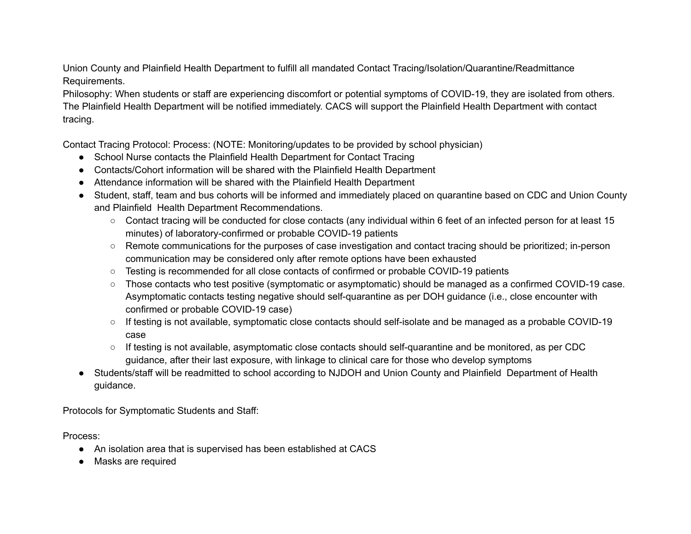Union County and Plainfield Health Department to fulfill all mandated Contact Tracing/Isolation/Quarantine/Readmittance Requirements.

Philosophy: When students or staff are experiencing discomfort or potential symptoms of COVID-19, they are isolated from others. The Plainfield Health Department will be notified immediately. CACS will support the Plainfield Health Department with contact tracing.

Contact Tracing Protocol: Process: (NOTE: Monitoring/updates to be provided by school physician)

- School Nurse contacts the Plainfield Health Department for Contact Tracing
- Contacts/Cohort information will be shared with the Plainfield Health Department
- Attendance information will be shared with the Plainfield Health Department
- Student, staff, team and bus cohorts will be informed and immediately placed on quarantine based on CDC and Union County and Plainfield Health Department Recommendations.
	- Contact tracing will be conducted for close contacts (any individual within 6 feet of an infected person for at least 15 minutes) of laboratory-confirmed or probable COVID-19 patients
	- Remote communications for the purposes of case investigation and contact tracing should be prioritized; in-person communication may be considered only after remote options have been exhausted
	- Testing is recommended for all close contacts of confirmed or probable COVID-19 patients
	- Those contacts who test positive (symptomatic or asymptomatic) should be managed as a confirmed COVID-19 case. Asymptomatic contacts testing negative should self-quarantine as per DOH guidance (i.e., close encounter with confirmed or probable COVID-19 case)
	- If testing is not available, symptomatic close contacts should self-isolate and be managed as a probable COVID-19 case
	- If testing is not available, asymptomatic close contacts should self-quarantine and be monitored, as per CDC guidance, after their last exposure, with linkage to clinical care for those who develop symptoms
- Students/staff will be readmitted to school according to NJDOH and Union County and Plainfield Department of Health guidance.

Protocols for Symptomatic Students and Staff:

Process:

- An isolation area that is supervised has been established at CACS
- Masks are required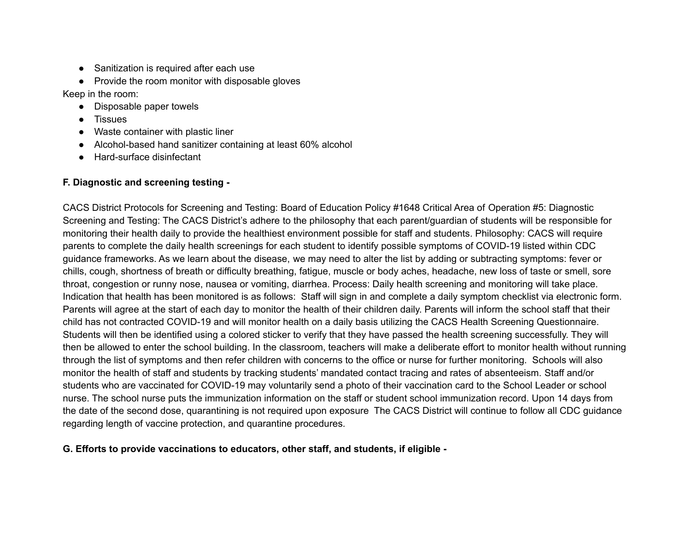- Sanitization is required after each use
- Provide the room monitor with disposable gloves

Keep in the room:

- Disposable paper towels
- **Tissues**
- Waste container with plastic liner
- Alcohol-based hand sanitizer containing at least 60% alcohol
- **Hard-surface disinfectant**

#### **F. Diagnostic and screening testing -**

CACS District Protocols for Screening and Testing: Board of Education Policy #1648 Critical Area of Operation #5: Diagnostic Screening and Testing: The CACS District's adhere to the philosophy that each parent/guardian of students will be responsible for monitoring their health daily to provide the healthiest environment possible for staff and students. Philosophy: CACS will require parents to complete the daily health screenings for each student to identify possible symptoms of COVID-19 listed within CDC guidance frameworks. As we learn about the disease, we may need to alter the list by adding or subtracting symptoms: fever or chills, cough, shortness of breath or difficulty breathing, fatigue, muscle or body aches, headache, new loss of taste or smell, sore throat, congestion or runny nose, nausea or vomiting, diarrhea. Process: Daily health screening and monitoring will take place. Indication that health has been monitored is as follows: Staff will sign in and complete a daily symptom checklist via electronic form. Parents will agree at the start of each day to monitor the health of their children daily. Parents will inform the school staff that their child has not contracted COVID-19 and will monitor health on a daily basis utilizing the CACS Health Screening Questionnaire. Students will then be identified using a colored sticker to verify that they have passed the health screening successfully. They will then be allowed to enter the school building. In the classroom, teachers will make a deliberate effort to monitor health without running through the list of symptoms and then refer children with concerns to the office or nurse for further monitoring. Schools will also monitor the health of staff and students by tracking students' mandated contact tracing and rates of absenteeism. Staff and/or students who are vaccinated for COVID-19 may voluntarily send a photo of their vaccination card to the School Leader or school nurse. The school nurse puts the immunization information on the staff or student school immunization record. Upon 14 days from the date of the second dose, quarantining is not required upon exposure The CACS District will continue to follow all CDC guidance regarding length of vaccine protection, and quarantine procedures.

#### **G. Efforts to provide vaccinations to educators, other staff, and students, if eligible -**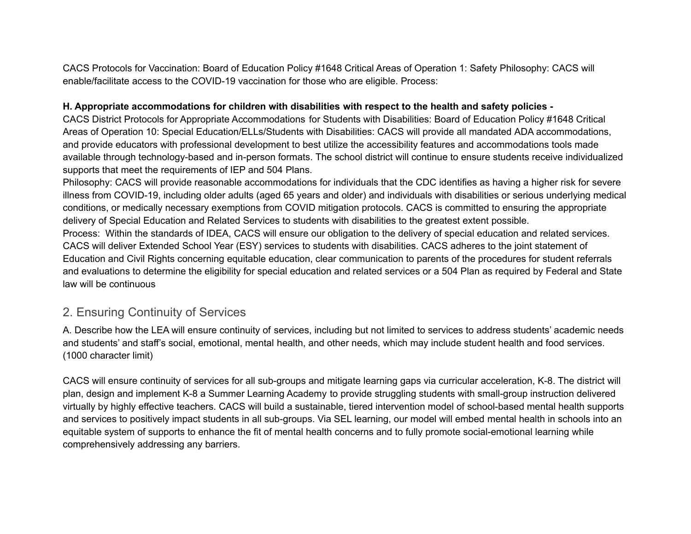CACS Protocols for Vaccination: Board of Education Policy #1648 Critical Areas of Operation 1: Safety Philosophy: CACS will enable/facilitate access to the COVID-19 vaccination for those who are eligible. Process:

#### **H. Appropriate accommodations for children with disabilities with respect to the health and safety policies -**

CACS District Protocols for Appropriate Accommodations for Students with Disabilities: Board of Education Policy #1648 Critical Areas of Operation 10: Special Education/ELLs/Students with Disabilities: CACS will provide all mandated ADA accommodations, and provide educators with professional development to best utilize the accessibility features and accommodations tools made available through technology-based and in-person formats. The school district will continue to ensure students receive individualized supports that meet the requirements of IEP and 504 Plans.

Philosophy: CACS will provide reasonable accommodations for individuals that the CDC identifies as having a higher risk for severe illness from COVID-19, including older adults (aged 65 years and older) and individuals with disabilities or serious underlying medical conditions, or medically necessary exemptions from COVID mitigation protocols. CACS is committed to ensuring the appropriate delivery of Special Education and Related Services to students with disabilities to the greatest extent possible. Process: Within the standards of IDEA, CACS will ensure our obligation to the delivery of special education and related services. CACS will deliver Extended School Year (ESY) services to students with disabilities. CACS adheres to the joint statement of Education and Civil Rights concerning equitable education, clear communication to parents of the procedures for student referrals and evaluations to determine the eligibility for special education and related services or a 504 Plan as required by Federal and State law will be continuous

### 2. Ensuring Continuity of Services

A. Describe how the LEA will ensure continuity of services, including but not limited to services to address students' academic needs and students' and staff's social, emotional, mental health, and other needs, which may include student health and food services. (1000 character limit)

CACS will ensure continuity of services for all sub-groups and mitigate learning gaps via curricular acceleration, K-8. The district will plan, design and implement K-8 a Summer Learning Academy to provide struggling students with small-group instruction delivered virtually by highly effective teachers. CACS will build a sustainable, tiered intervention model of school-based mental health supports and services to positively impact students in all sub-groups. Via SEL learning, our model will embed mental health in schools into an equitable system of supports to enhance the fit of mental health concerns and to fully promote social-emotional learning while comprehensively addressing any barriers.